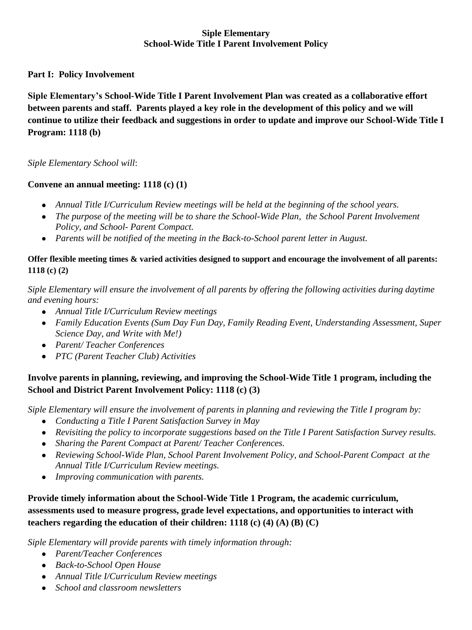### **Siple Elementary School-Wide Title I Parent Involvement Policy**

## **Part I: Policy Involvement**

**Siple Elementary's School-Wide Title I Parent Involvement Plan was created as a collaborative effort between parents and staff. Parents played a key role in the development of this policy and we will continue to utilize their feedback and suggestions in order to update and improve our School-Wide Title I Program: 1118 (b)**

#### *Siple Elementary School will*:

#### **Convene an annual meeting: 1118 (c) (1)**

- *Annual Title I/Curriculum Review meetings will be held at the beginning of the school years.*
- The purpose of the meeting will be to share the School-Wide Plan, the School Parent Involvement *Policy, and School- Parent Compact.*
- Parents will be notified of the meeting in the Back-to-School parent letter in August.

## **Offer flexible meeting times & varied activities designed to support and encourage the involvement of all parents: 1118 (c) (2)**

*Siple Elementary will ensure the involvement of all parents by offering the following activities during daytime and evening hours:*

- *Annual Title I/Curriculum Review meetings*
- *Family Education Events (Sum Day Fun Day, Family Reading Event, Understanding Assessment, Super Science Day, and Write with Me!)*
- *Parent/ Teacher Conferences*
- *PTC (Parent Teacher Club) Activities*

# **Involve parents in planning, reviewing, and improving the School-Wide Title 1 program, including the School and District Parent Involvement Policy: 1118 (c) (3)**

*Siple Elementary will ensure the involvement of parents in planning and reviewing the Title I program by:*

- *Conducting a Title I Parent Satisfaction Survey in May*
- *Revisiting the policy to incorporate suggestions based on the Title I Parent Satisfaction Survey results.*
- *Sharing the Parent Compact at Parent/ Teacher Conferences.*
- *Reviewing School-Wide Plan, School Parent Involvement Policy, and School-Parent Compact at the Annual Title I/Curriculum Review meetings.*
- *Improving communication with parents.*

**Provide timely information about the School-Wide Title 1 Program, the academic curriculum, assessments used to measure progress, grade level expectations, and opportunities to interact with teachers regarding the education of their children: 1118 (c) (4) (A) (B) (C)**

*Siple Elementary will provide parents with timely information through:*

- *Parent/Teacher Conferences*
- *Back-to-School Open House*
- *Annual Title I/Curriculum Review meetings*
- *School and classroom newsletters*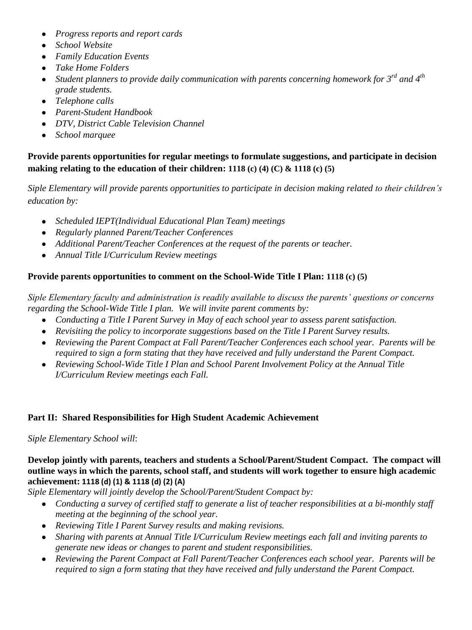- $\bullet$ *Progress reports and report cards*
- *School Website*
- *Family Education Events*
- *Take Home Folders*
- *Student planners to provide daily communication with parents concerning homework for 3rd and 4th grade students.*
- *Telephone calls*  $\bullet$
- *Parent-Student Handbook*
- *DTV, District Cable Television Channel*
- $\bullet$ *School marquee*

**Provide parents opportunities for regular meetings to formulate suggestions, and participate in decision making relating to the education of their children: 1118 (c) (4) (C) & 1118 (c) (5)**

*Siple Elementary will provide parents opportunities to participate in decision making related to their children's education by:*

- *Scheduled IEPT(Individual Educational Plan Team) meetings*
- *Regularly planned Parent/Teacher Conferences*
- *Additional Parent/Teacher Conferences at the request of the parents or teacher.*
- *Annual Title I/Curriculum Review meetings*

## **Provide parents opportunities to comment on the School-Wide Title I Plan: 1118 (c) (5)**

*Siple Elementary faculty and administration is readily available to discuss the parents' questions or concerns regarding the School-Wide Title I plan. We will invite parent comments by:*

- *Conducting a Title I Parent Survey in May of each school year to assess parent satisfaction.*
- *Revisiting the policy to incorporate suggestions based on the Title I Parent Survey results.*
- *Reviewing the Parent Compact at Fall Parent/Teacher Conferences each school year. Parents will be required to sign a form stating that they have received and fully understand the Parent Compact.*
- *Reviewing School-Wide Title I Plan and School Parent Involvement Policy at the Annual Title I/Curriculum Review meetings each Fall.*

## **Part II: Shared Responsibilities for High Student Academic Achievement**

*Siple Elementary School will*:

**Develop jointly with parents, teachers and students a School/Parent/Student Compact. The compact will outline ways in which the parents, school staff, and students will work together to ensure high academic achievement: 1118 (d) (1) & 1118 (d) (2) (A)**

*Siple Elementary will jointly develop the School/Parent/Student Compact by:*

- *Conducting a survey of certified staff to generate a list of teacher responsibilities at a bi-monthly staff meeting at the beginning of the school year.*
- *Reviewing Title I Parent Survey results and making revisions.*
- *Sharing with parents at Annual Title I/Curriculum Review meetings each fall and inviting parents to generate new ideas or changes to parent and student responsibilities.*
- *Reviewing the Parent Compact at Fall Parent/Teacher Conferences each school year. Parents will be required to sign a form stating that they have received and fully understand the Parent Compact.*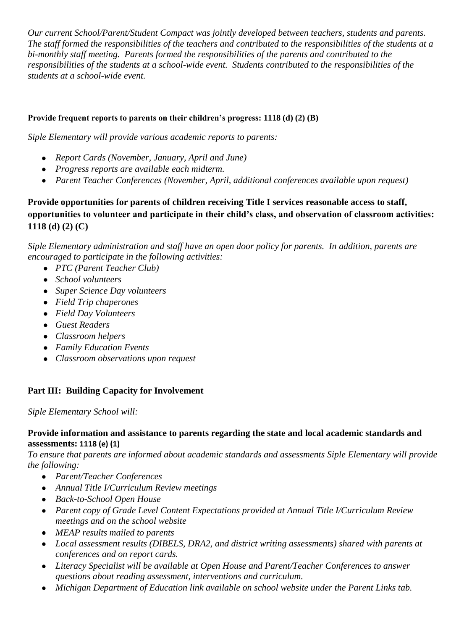*Our current School/Parent/Student Compact was jointly developed between teachers, students and parents. The staff formed the responsibilities of the teachers and contributed to the responsibilities of the students at a bi-monthly staff meeting. Parents formed the responsibilities of the parents and contributed to the responsibilities of the students at a school-wide event. Students contributed to the responsibilities of the students at a school-wide event.* 

### **Provide frequent reports to parents on their children's progress: 1118 (d) (2) (B)**

*Siple Elementary will provide various academic reports to parents:*

- *Report Cards (November, January, April and June)*
- *Progress reports are available each midterm.*
- *Parent Teacher Conferences (November, April, additional conferences available upon request)*

## **Provide opportunities for parents of children receiving Title I services reasonable access to staff, opportunities to volunteer and participate in their child's class, and observation of classroom activities: 1118 (d) (2) (C)**

*Siple Elementary administration and staff have an open door policy for parents. In addition, parents are encouraged to participate in the following activities:*

- *PTC (Parent Teacher Club)*
- *School volunteers*
- *Super Science Day volunteers*
- *Field Trip chaperones*
- *Field Day Volunteers*
- *Guest Readers*
- *Classroom helpers*
- *Family Education Events*
- *Classroom observations upon request*

## **Part III: Building Capacity for Involvement**

*Siple Elementary School will:*

#### **Provide information and assistance to parents regarding the state and local academic standards and assessments: 1118 (e) (1)**

*To ensure that parents are informed about academic standards and assessments Siple Elementary will provide the following:*

- *Parent/Teacher Conferences*
- *Annual Title I/Curriculum Review meetings*
- *Back-to-School Open House*
- *Parent copy of Grade Level Content Expectations provided at Annual Title I/Curriculum Review meetings and on the school website*
- *MEAP results mailed to parents*
- *Local assessment results (DIBELS, DRA2, and district writing assessments) shared with parents at conferences and on report cards.*
- *Literacy Specialist will be available at Open House and Parent/Teacher Conferences to answer questions about reading assessment, interventions and curriculum.*
- Michigan Department of Education link available on school website *under the Parent Links tab*.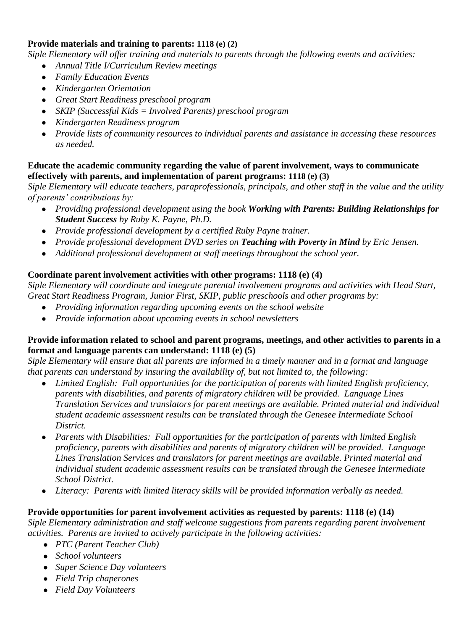## **Provide materials and training to parents: 1118 (e) (2)**

*Siple Elementary will offer training and materials to parents through the following events and activities:*

- *Annual Title I/Curriculum Review meetings*
- *Family Education Events*
- *Kindergarten Orientation*
- *Great Start Readiness preschool program*
- *SKIP (Successful Kids = Involved Parents) preschool program*
- *Kindergarten Readiness program*
- *Provide lists of community resources to individual parents and assistance in accessing these resources as needed.*

## **Educate the academic community regarding the value of parent involvement, ways to communicate effectively with parents, and implementation of parent programs: 1118 (e) (3)**

*Siple Elementary will educate teachers, paraprofessionals, principals, and other staff in the value and the utility of parents' contributions by:*

- *Providing professional development using the book Working with Parents: Building Relationships for Student Success by Ruby K. Payne, Ph.D.*
- *Provide professional development by a certified Ruby Payne trainer.*
- *Provide professional development DVD series on Teaching with Poverty in Mind by Eric Jensen.*
- *Additional professional development at staff meetings throughout the school year.*

## **Coordinate parent involvement activities with other programs: 1118 (e) (4)**

*Siple Elementary will coordinate and integrate parental involvement programs and activities with Head Start, Great Start Readiness Program, Junior First, SKIP, public preschools and other programs by:*

- *Providing information regarding upcoming events on the school website*
- *Provide information about upcoming events in school newsletters*

## **Provide information related to school and parent programs, meetings, and other activities to parents in a format and language parents can understand: 1118 (e) (5)**

*Siple Elementary will ensure that all parents are informed in a timely manner and in a format and language that parents can understand by insuring the availability of, but not limited to, the following:*

- *Limited English: Full opportunities for the participation of parents with limited English proficiency, parents with disabilities, and parents of migratory children will be provided. Language Lines Translation Services and translators for parent meetings are available. Printed material and individual student academic assessment results can be translated through the Genesee Intermediate School District.*
- *Parents with Disabilities: Full opportunities for the participation of parents with limited English*   $\bullet$ *proficiency, parents with disabilities and parents of migratory children will be provided. Language Lines Translation Services and translators for parent meetings are available. Printed material and individual student academic assessment results can be translated through the Genesee Intermediate School District.*
- *Literacy: Parents with limited literacy skills will be provided information verbally as needed.*

## **Provide opportunities for parent involvement activities as requested by parents: 1118 (e) (14)**

*Siple Elementary administration and staff welcome suggestions from parents regarding parent involvement activities. Parents are invited to actively participate in the following activities:*

- *PTC (Parent Teacher Club)*
- *School volunteers*
- *Super Science Day volunteers*
- *Field Trip chaperones*
- *Field Day Volunteers*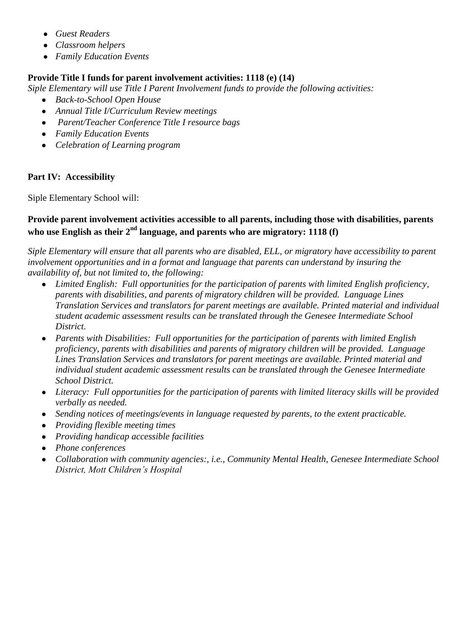- *Guest Readers*
- *Classroom helpers*
- *Family Education Events*

## **Provide Title I funds for parent involvement activities: 1118 (e) (14)**

*Siple Elementary will use Title I Parent Involvement funds to provide the following activities:*

- *Back-to-School Open House*
- *Annual Title I/Curriculum Review meetings*
- *Parent/Teacher Conference Title I resource bags*
- *Family Education Events*
- *Celebration of Learning program*

## **Part IV: Accessibility**

Siple Elementary School will:

## **Provide parent involvement activities accessible to all parents, including those with disabilities, parents who use English as their 2nd language, and parents who are migratory: 1118 (f)**

*Siple Elementary will ensure that all parents who are disabled, ELL, or migratory have accessibility to parent involvement opportunities and in a format and language that parents can understand by insuring the availability of, but not limited to, the following:*

- *Limited English: Full opportunities for the participation of parents with limited English proficiency, parents with disabilities, and parents of migratory children will be provided. Language Lines Translation Services and translators for parent meetings are available. Printed material and individual student academic assessment results can be translated through the Genesee Intermediate School District.*
- *Parents with Disabilities: Full opportunities for the participation of parents with limited English proficiency, parents with disabilities and parents of migratory children will be provided. Language Lines Translation Services and translators for parent meetings are available. Printed material and individual student academic assessment results can be translated through the Genesee Intermediate School District.*
- *Literacy: Full opportunities for the participation of parents with limited literacy skills will be provided verbally as needed.*
- *Sending notices of meetings/events in language requested by parents, to the extent practicable.*
- *Providing flexible meeting times*
- *Providing handicap accessible facilities*
- *Phone conferences*  $\bullet$
- *Collaboration with community agencies:, i.e., Community Mental Health, Genesee Intermediate School District, Mott Children's Hospital*